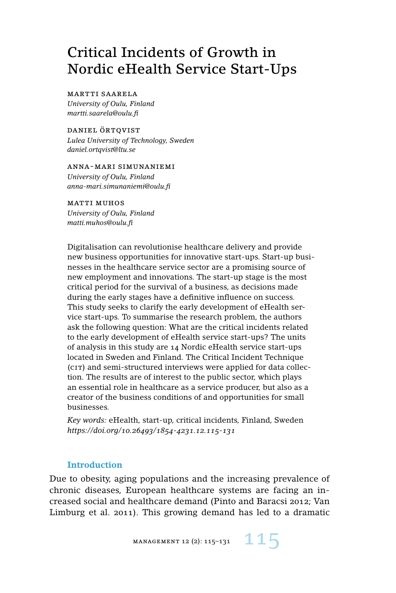# Critical Incidents of Growth in Nordic eHealth Service Start-Ups

#### martti saarela

*University of Oulu, Finland martti.saarela@oulu.fi*

daniel örtqvist *Lulea University of Technology, Sweden daniel.ortqvist@ltu.se*

anna-mari simunaniemi *University of Oulu, Finland anna-mari.simunaniemi@oulu.fi*

matti muhos *University of Oulu, Finland matti.muhos@oulu.fi*

Digitalisation can revolutionise healthcare delivery and provide new business opportunities for innovative start-ups. Start-up businesses in the healthcare service sector are a promising source of new employment and innovations. The start-up stage is the most critical period for the survival of a business, as decisions made during the early stages have a definitive influence on success. This study seeks to clarify the early development of eHealth service start-ups. To summarise the research problem, the authors ask the following question: What are the critical incidents related to the early development of eHealth service start-ups? The units of analysis in this study are 14 Nordic eHealth service start-ups located in Sweden and Finland. The Critical Incident Technique (cit) and semi-structured interviews were applied for data collection. The results are of interest to the public sector, which plays an essential role in healthcare as a service producer, but also as a creator of the business conditions of and opportunities for small businesses.

*Key words:* eHealth, start-up, critical incidents, Finland, Sweden *https://doi.org/10.26493/1854-4231.12.115-131*

## **Introduction**

Due to obesity, aging populations and the increasing prevalence of chronic diseases, European healthcare systems are facing an increased social and healthcare demand (Pinto and Baracsi 2012; Van Limburg et al. 2011). This growing demand has led to a dramatic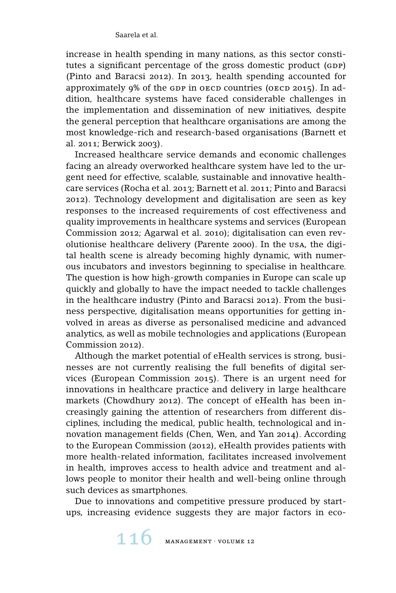increase in health spending in many nations, as this sector constitutes a significant percentage of the gross domestic product (GDP) (Pinto and Baracsi 2012). In 2013, health spending accounted for approximately 9% of the GDP in OECD countries (OECD 2015). In addition, healthcare systems have faced considerable challenges in the implementation and dissemination of new initiatives, despite the general perception that healthcare organisations are among the most knowledge-rich and research-based organisations (Barnett et al. 2011; Berwick 2003).

Increased healthcare service demands and economic challenges facing an already overworked healthcare system have led to the urgent need for effective, scalable, sustainable and innovative healthcare services (Rocha et al. 2013; Barnett et al. 2011; Pinto and Baracsi 2012). Technology development and digitalisation are seen as key responses to the increased requirements of cost effectiveness and quality improvements in healthcare systems and services (European Commission 2012; Agarwal et al. 2010); digitalisation can even revolutionise healthcare delivery (Parente 2000). In the usa, the digital health scene is already becoming highly dynamic, with numerous incubators and investors beginning to specialise in healthcare. The question is how high-growth companies in Europe can scale up quickly and globally to have the impact needed to tackle challenges in the healthcare industry (Pinto and Baracsi 2012). From the business perspective, digitalisation means opportunities for getting involved in areas as diverse as personalised medicine and advanced analytics, as well as mobile technologies and applications (European Commission 2012).

Although the market potential of eHealth services is strong, businesses are not currently realising the full benefits of digital services (European Commission 2015). There is an urgent need for innovations in healthcare practice and delivery in large healthcare markets (Chowdhury 2012). The concept of eHealth has been increasingly gaining the attention of researchers from different disciplines, including the medical, public health, technological and innovation management fields (Chen, Wen, and Yan 2014). According to the European Commission (2012), eHealth provides patients with more health-related information, facilitates increased involvement in health, improves access to health advice and treatment and allows people to monitor their health and well-being online through such devices as smartphones.

Due to innovations and competitive pressure produced by startups, increasing evidence suggests they are major factors in eco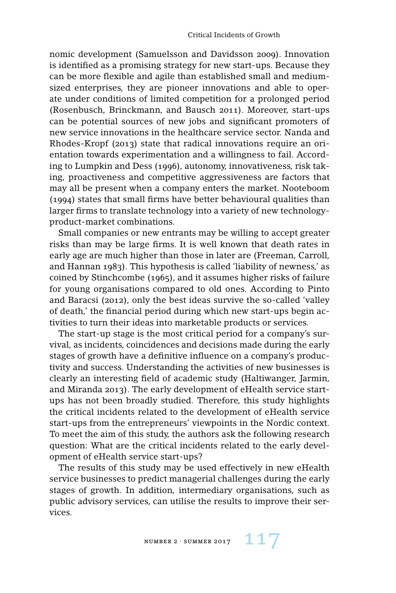nomic development (Samuelsson and Davidsson 2009). Innovation is identified as a promising strategy for new start-ups. Because they can be more flexible and agile than established small and mediumsized enterprises, they are pioneer innovations and able to operate under conditions of limited competition for a prolonged period (Rosenbusch, Brinckmann, and Bausch 2011). Moreover, start-ups can be potential sources of new jobs and significant promoters of new service innovations in the healthcare service sector. Nanda and Rhodes-Kropf (2013) state that radical innovations require an orientation towards experimentation and a willingness to fail. According to Lumpkin and Dess (1996), autonomy, innovativeness, risk taking, proactiveness and competitive aggressiveness are factors that may all be present when a company enters the market. Nooteboom (1994) states that small firms have better behavioural qualities than larger firms to translate technology into a variety of new technologyproduct-market combinations.

Small companies or new entrants may be willing to accept greater risks than may be large firms. It is well known that death rates in early age are much higher than those in later are (Freeman, Carroll, and Hannan 1983). This hypothesis is called 'liability of newness,' as coined by Stinchcombe (1965), and it assumes higher risks of failure for young organisations compared to old ones. According to Pinto and Baracsi (2012), only the best ideas survive the so-called 'valley of death,' the financial period during which new start-ups begin activities to turn their ideas into marketable products or services.

The start-up stage is the most critical period for a company's survival, as incidents, coincidences and decisions made during the early stages of growth have a definitive influence on a company's productivity and success. Understanding the activities of new businesses is clearly an interesting field of academic study (Haltiwanger, Jarmin, and Miranda 2013). The early development of eHealth service startups has not been broadly studied. Therefore, this study highlights the critical incidents related to the development of eHealth service start-ups from the entrepreneurs' viewpoints in the Nordic context. To meet the aim of this study, the authors ask the following research question: What are the critical incidents related to the early development of eHealth service start-ups?

The results of this study may be used effectively in new eHealth service businesses to predict managerial challenges during the early stages of growth. In addition, intermediary organisations, such as public advisory services, can utilise the results to improve their services.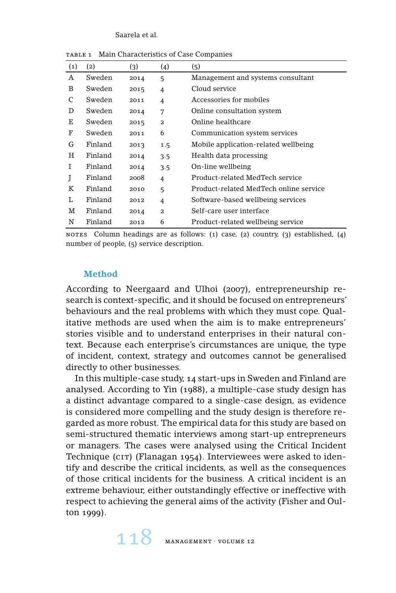Saarela et al.

| (1) | (2)     | (3)  | (4)            | (5)                                    |
|-----|---------|------|----------------|----------------------------------------|
| A   | Sweden  | 2014 | 5              | Management and systems consultant      |
| B   | Sweden  | 2015 | $\overline{4}$ | Cloud service                          |
| C   | Sweden  | 2011 | 4              | Accessories for mobiles                |
| D   | Sweden  | 2014 | 7              | Online consultation system             |
| Е   | Sweden  | 2015 | $\overline{a}$ | Online healthcare                      |
| F   | Sweden  | 2011 | 6              | Communication system services          |
| G   | Finland | 2013 | 1.5            | Mobile application-related wellbeing   |
| H   | Finland | 2014 | 3.5            | Health data processing                 |
| Ι   | Finland | 2014 | 3.5            | On-line wellbeing                      |
| J   | Finland | 2008 | $\overline{4}$ | Product-related MedTech service        |
| K   | Finland | 2010 | 5              | Product-related MedTech online service |
| L   | Finland | 2012 | $\overline{4}$ | Software-based wellbeing services      |
| M   | Finland | 2014 | $\mathbf{z}$   | Self-care user interface               |
| N   | Finland | 2012 | 6              | Product-related wellbeing service      |

table 1 Main Characteristics of Case Companies

NOTES Column headings are as follows: (1) case, (2) country, (3) established, (4) number of people, (5) service description.

## **Method**

According to Neergaard and Ulhoi (2007), entrepreneurship research is context-specific, and it should be focused on entrepreneurs' behaviours and the real problems with which they must cope. Qualitative methods are used when the aim is to make entrepreneurs' stories visible and to understand enterprises in their natural context. Because each enterprise's circumstances are unique, the type of incident, context, strategy and outcomes cannot be generalised directly to other businesses.

In this multiple-case study, 14 start-ups in Sweden and Finland are analysed. According to Yin (1988), a multiple-case study design has a distinct advantage compared to a single-case design, as evidence is considered more compelling and the study design is therefore regarded as more robust. The empirical data for this study are based on semi-structured thematic interviews among start-up entrepreneurs or managers. The cases were analysed using the Critical Incident Technique (CIT) (Flanagan 1954). Interviewees were asked to identify and describe the critical incidents, as well as the consequences of those critical incidents for the business. A critical incident is an extreme behaviour, either outstandingly effective or ineffective with respect to achieving the general aims of the activity (Fisher and Oulton 1999).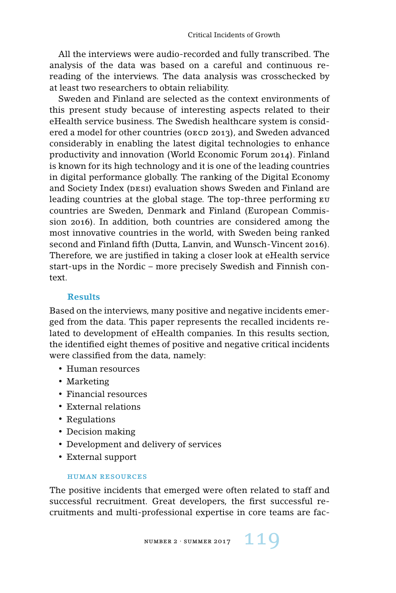All the interviews were audio-recorded and fully transcribed. The analysis of the data was based on a careful and continuous rereading of the interviews. The data analysis was crosschecked by at least two researchers to obtain reliability.

Sweden and Finland are selected as the context environments of this present study because of interesting aspects related to their eHealth service business. The Swedish healthcare system is considered a model for other countries (OECD 2013), and Sweden advanced considerably in enabling the latest digital technologies to enhance productivity and innovation (World Economic Forum 2014). Finland is known for its high technology and it is one of the leading countries in digital performance globally. The ranking of the Digital Economy and Society Index (DESI) evaluation shows Sweden and Finland are leading countries at the global stage. The top-three performing eu countries are Sweden, Denmark and Finland (European Commission 2016). In addition, both countries are considered among the most innovative countries in the world, with Sweden being ranked second and Finland fifth (Dutta, Lanvin, and Wunsch-Vincent 2016). Therefore, we are justified in taking a closer look at eHealth service start-ups in the Nordic – more precisely Swedish and Finnish context.

#### **Results**

Based on the interviews, many positive and negative incidents emerged from the data. This paper represents the recalled incidents related to development of eHealth companies. In this results section, the identified eight themes of positive and negative critical incidents were classified from the data, namely:

- Human resources
- Marketing
- Financial resources
- External relations
- Regulations
- Decision making
- Development and delivery of services
- External support

#### human resources

The positive incidents that emerged were often related to staff and successful recruitment. Great developers, the first successful recruitments and multi-professional expertise in core teams are fac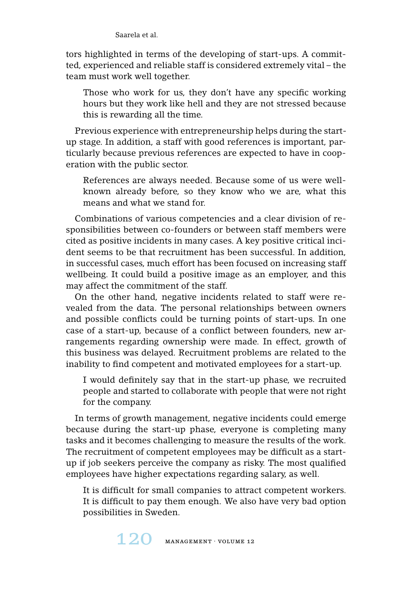Saarela et al.

tors highlighted in terms of the developing of start-ups. A committed, experienced and reliable staff is considered extremely vital – the team must work well together.

Those who work for us, they don't have any specific working hours but they work like hell and they are not stressed because this is rewarding all the time.

Previous experience with entrepreneurship helps during the startup stage. In addition, a staff with good references is important, particularly because previous references are expected to have in cooperation with the public sector.

References are always needed. Because some of us were wellknown already before, so they know who we are, what this means and what we stand for.

Combinations of various competencies and a clear division of responsibilities between co-founders or between staff members were cited as positive incidents in many cases. A key positive critical incident seems to be that recruitment has been successful. In addition, in successful cases, much effort has been focused on increasing staff wellbeing. It could build a positive image as an employer, and this may affect the commitment of the staff.

On the other hand, negative incidents related to staff were revealed from the data. The personal relationships between owners and possible conflicts could be turning points of start-ups. In one case of a start-up, because of a conflict between founders, new arrangements regarding ownership were made. In effect, growth of this business was delayed. Recruitment problems are related to the inability to find competent and motivated employees for a start-up.

I would definitely say that in the start-up phase, we recruited people and started to collaborate with people that were not right for the company.

In terms of growth management, negative incidents could emerge because during the start-up phase, everyone is completing many tasks and it becomes challenging to measure the results of the work. The recruitment of competent employees may be difficult as a startup if job seekers perceive the company as risky. The most qualified employees have higher expectations regarding salary, as well.

It is difficult for small companies to attract competent workers. It is difficult to pay them enough. We also have very bad option possibilities in Sweden.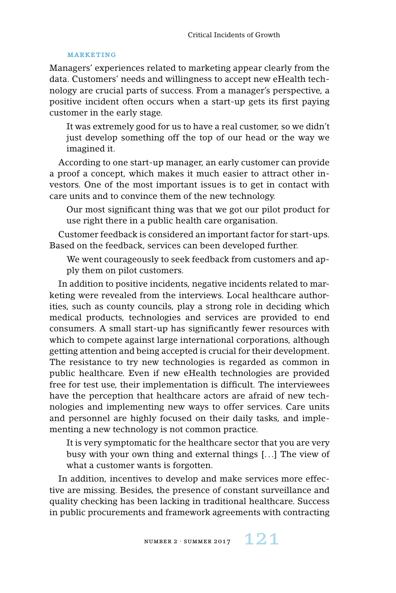#### **MARKETING**

Managers' experiences related to marketing appear clearly from the data. Customers' needs and willingness to accept new eHealth technology are crucial parts of success. From a manager's perspective, a positive incident often occurs when a start-up gets its first paying customer in the early stage.

It was extremely good for us to have a real customer, so we didn't just develop something off the top of our head or the way we imagined it.

According to one start-up manager, an early customer can provide a proof a concept, which makes it much easier to attract other investors. One of the most important issues is to get in contact with care units and to convince them of the new technology.

Our most significant thing was that we got our pilot product for use right there in a public health care organisation.

Customer feedback is considered an important factor for start-ups. Based on the feedback, services can been developed further.

We went courageously to seek feedback from customers and apply them on pilot customers.

In addition to positive incidents, negative incidents related to marketing were revealed from the interviews. Local healthcare authorities, such as county councils, play a strong role in deciding which medical products, technologies and services are provided to end consumers. A small start-up has significantly fewer resources with which to compete against large international corporations, although getting attention and being accepted is crucial for their development. The resistance to try new technologies is regarded as common in public healthcare. Even if new eHealth technologies are provided free for test use, their implementation is difficult. The interviewees have the perception that healthcare actors are afraid of new technologies and implementing new ways to offer services. Care units and personnel are highly focused on their daily tasks, and implementing a new technology is not common practice.

It is very symptomatic for the healthcare sector that you are very busy with your own thing and external things [. . .] The view of what a customer wants is forgotten.

In addition, incentives to develop and make services more effective are missing. Besides, the presence of constant surveillance and quality checking has been lacking in traditional healthcare. Success in public procurements and framework agreements with contracting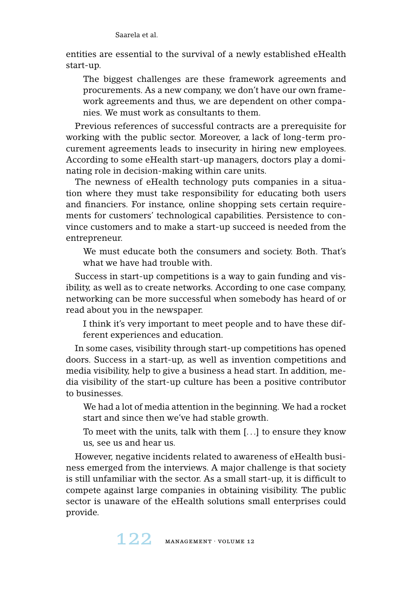entities are essential to the survival of a newly established eHealth start-up.

The biggest challenges are these framework agreements and procurements. As a new company, we don't have our own framework agreements and thus, we are dependent on other companies. We must work as consultants to them.

Previous references of successful contracts are a prerequisite for working with the public sector. Moreover, a lack of long-term procurement agreements leads to insecurity in hiring new employees. According to some eHealth start-up managers, doctors play a dominating role in decision-making within care units.

The newness of eHealth technology puts companies in a situation where they must take responsibility for educating both users and financiers. For instance, online shopping sets certain requirements for customers' technological capabilities. Persistence to convince customers and to make a start-up succeed is needed from the entrepreneur.

We must educate both the consumers and society. Both. That's what we have had trouble with.

Success in start-up competitions is a way to gain funding and visibility, as well as to create networks. According to one case company, networking can be more successful when somebody has heard of or read about you in the newspaper.

I think it's very important to meet people and to have these different experiences and education.

In some cases, visibility through start-up competitions has opened doors. Success in a start-up, as well as invention competitions and media visibility, help to give a business a head start. In addition, media visibility of the start-up culture has been a positive contributor to businesses.

We had a lot of media attention in the beginning. We had a rocket start and since then we've had stable growth.

To meet with the units, talk with them [. . .] to ensure they know us, see us and hear us.

However, negative incidents related to awareness of eHealth business emerged from the interviews. A major challenge is that society is still unfamiliar with the sector. As a small start-up, it is difficult to compete against large companies in obtaining visibility. The public sector is unaware of the eHealth solutions small enterprises could provide.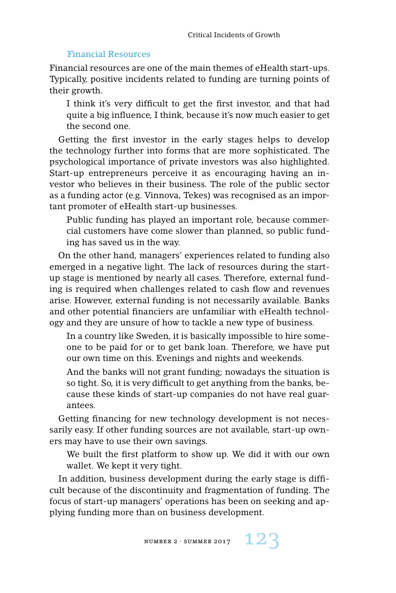## Financial Resources

Financial resources are one of the main themes of eHealth start-ups. Typically, positive incidents related to funding are turning points of their growth.

I think it's very difficult to get the first investor, and that had quite a big influence, I think, because it's now much easier to get the second one.

Getting the first investor in the early stages helps to develop the technology further into forms that are more sophisticated. The psychological importance of private investors was also highlighted. Start-up entrepreneurs perceive it as encouraging having an investor who believes in their business. The role of the public sector as a funding actor (e.g. Vinnova, Tekes) was recognised as an important promoter of eHealth start-up businesses.

Public funding has played an important role, because commercial customers have come slower than planned, so public funding has saved us in the way.

On the other hand, managers' experiences related to funding also emerged in a negative light. The lack of resources during the startup stage is mentioned by nearly all cases. Therefore, external funding is required when challenges related to cash flow and revenues arise. However, external funding is not necessarily available. Banks and other potential financiers are unfamiliar with eHealth technology and they are unsure of how to tackle a new type of business.

In a country like Sweden, it is basically impossible to hire someone to be paid for or to get bank loan. Therefore, we have put our own time on this. Evenings and nights and weekends.

And the banks will not grant funding; nowadays the situation is so tight. So, it is very difficult to get anything from the banks, because these kinds of start-up companies do not have real guarantees.

Getting financing for new technology development is not necessarily easy. If other funding sources are not available, start-up owners may have to use their own savings.

We built the first platform to show up. We did it with our own wallet. We kept it very tight.

In addition, business development during the early stage is difficult because of the discontinuity and fragmentation of funding. The focus of start-up managers' operations has been on seeking and applying funding more than on business development.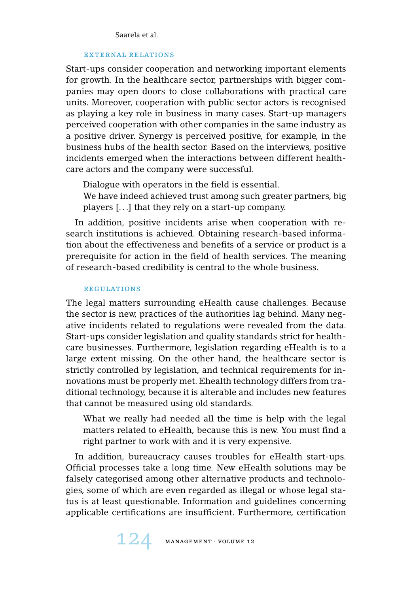## external relations

Start-ups consider cooperation and networking important elements for growth. In the healthcare sector, partnerships with bigger companies may open doors to close collaborations with practical care units. Moreover, cooperation with public sector actors is recognised as playing a key role in business in many cases. Start-up managers perceived cooperation with other companies in the same industry as a positive driver. Synergy is perceived positive, for example, in the business hubs of the health sector. Based on the interviews, positive incidents emerged when the interactions between different healthcare actors and the company were successful.

Dialogue with operators in the field is essential.

We have indeed achieved trust among such greater partners, big players [. . .] that they rely on a start-up company.

In addition, positive incidents arise when cooperation with research institutions is achieved. Obtaining research-based information about the effectiveness and benefits of a service or product is a prerequisite for action in the field of health services. The meaning of research-based credibility is central to the whole business.

#### **REGULATIONS**

The legal matters surrounding eHealth cause challenges. Because the sector is new, practices of the authorities lag behind. Many negative incidents related to regulations were revealed from the data. Start-ups consider legislation and quality standards strict for healthcare businesses. Furthermore, legislation regarding eHealth is to a large extent missing. On the other hand, the healthcare sector is strictly controlled by legislation, and technical requirements for innovations must be properly met. Ehealth technology differs from traditional technology, because it is alterable and includes new features that cannot be measured using old standards.

What we really had needed all the time is help with the legal matters related to eHealth, because this is new. You must find a right partner to work with and it is very expensive.

In addition, bureaucracy causes troubles for eHealth start-ups. Official processes take a long time. New eHealth solutions may be falsely categorised among other alternative products and technologies, some of which are even regarded as illegal or whose legal status is at least questionable. Information and guidelines concerning applicable certifications are insufficient. Furthermore, certification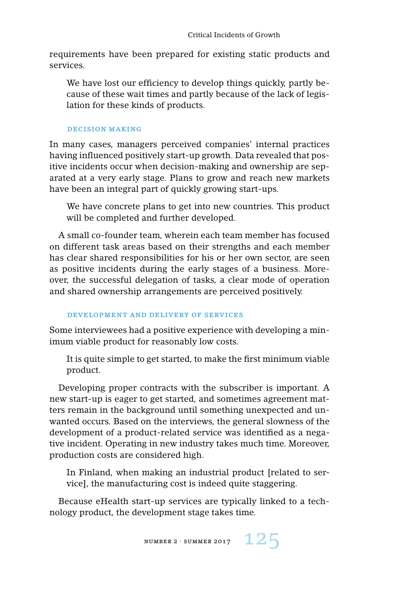requirements have been prepared for existing static products and services.

We have lost our efficiency to develop things quickly, partly because of these wait times and partly because of the lack of legislation for these kinds of products.

#### decision making

In many cases, managers perceived companies' internal practices having influenced positively start-up growth. Data revealed that positive incidents occur when decision-making and ownership are separated at a very early stage. Plans to grow and reach new markets have been an integral part of quickly growing start-ups.

We have concrete plans to get into new countries. This product will be completed and further developed.

A small co-founder team, wherein each team member has focused on different task areas based on their strengths and each member has clear shared responsibilities for his or her own sector, are seen as positive incidents during the early stages of a business. Moreover, the successful delegation of tasks, a clear mode of operation and shared ownership arrangements are perceived positively.

# development and delivery of services

Some interviewees had a positive experience with developing a minimum viable product for reasonably low costs.

It is quite simple to get started, to make the first minimum viable product.

Developing proper contracts with the subscriber is important. A new start-up is eager to get started, and sometimes agreement matters remain in the background until something unexpected and unwanted occurs. Based on the interviews, the general slowness of the development of a product-related service was identified as a negative incident. Operating in new industry takes much time. Moreover, production costs are considered high.

In Finland, when making an industrial product [related to service], the manufacturing cost is indeed quite staggering.

Because eHealth start-up services are typically linked to a technology product, the development stage takes time.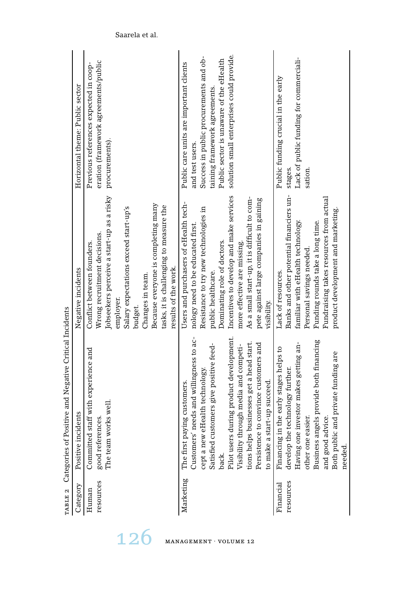| Category               | re incidents<br>Positiv                                                                                                                                                                                                                                                                                                                                                  | Negative incidents                                                                                                                                                                                                                                                                                                                                           | Horizontal theme: Public sector                                                                                                                                                                                               |
|------------------------|--------------------------------------------------------------------------------------------------------------------------------------------------------------------------------------------------------------------------------------------------------------------------------------------------------------------------------------------------------------------------|--------------------------------------------------------------------------------------------------------------------------------------------------------------------------------------------------------------------------------------------------------------------------------------------------------------------------------------------------------------|-------------------------------------------------------------------------------------------------------------------------------------------------------------------------------------------------------------------------------|
| resources<br>Human     | Committed staff with experience and<br>The team works well<br>good references.                                                                                                                                                                                                                                                                                           | Jobseekers perceive a start-up as a risky<br>Because everyone is completing many<br>tasks, it is challenging to measure the<br>Salary expectations exceed start-up's<br>Wrong recruitment decisions.<br>Conflict between founders.<br>results of the work.<br>Changes in team.<br>employer.<br>budget.                                                       | eration (framework agreements/public<br>Previous references expected in coop-<br>procurements).                                                                                                                               |
| Marketing              | Pilot users during product development.<br>Customers' needs and willingness to ac-<br>tions helps businesses get a head start.<br>Persistence to convince customers and<br>Satisfied customers give positive feed-<br>Visibility through media and competi-<br>cept a new eHealth technology<br>ke a start-up succeed.<br>The first paying customers.<br>to mal<br>back. | Incentives to develop and make services<br>As a small start-up, it is difficult to com-<br>pete against large companies in gaining<br>Users and purchasers of eHealth tech-<br>Resistance to try new technologies in<br>nology need to be educated first.<br>Dominating role of doctors.<br>more effective are missing.<br>public healthcare.<br>visibility. | solution small enterprises could provide.<br>Success in public procurements and ob-<br>Public sector is unaware of the eHealth<br>Public care units are important clients<br>taining framework agreements.<br>and test users. |
| resources<br>Financial | Business angels provide both financing<br>Having one investor makes getting an-<br>cing in the early stages helps to<br>Both public and private funding are<br>develop the technology further.<br>one easier.<br>and good advice.<br>needed.<br>Finan<br>other                                                                                                           | Banks and other potential financiers un-<br>Fundraising takes resources from actual<br>product development and marketing.<br>familiar with eHealth technology.<br>Funding rounds take a long time.<br>Personal savings needed.<br>Lack of resources.                                                                                                         | Lack of public funding for commerciali-<br>Public funding crucial in the early<br>stages.<br>sation.                                                                                                                          |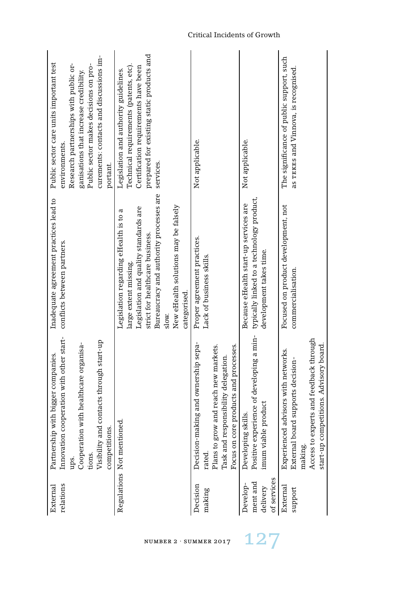| relations<br>External                           | Innovation cooperation with other start-<br>Visibility and contacts through start-up<br>Cooperation with healthcare organisa-<br>Partnership with bigger companies.<br>competitions.<br>tions.<br>ups. | Inadequate agreement practices lead to<br>conflicts between partners.                                                                                                                                                                                  | curements: contacts and discussions im-<br>Public sector care units important test<br>Research partnerships with public or-<br>Public sector makes decisions on pro-<br>ganisations that increase credibility.<br>environments.<br>portant. |
|-------------------------------------------------|--------------------------------------------------------------------------------------------------------------------------------------------------------------------------------------------------------|--------------------------------------------------------------------------------------------------------------------------------------------------------------------------------------------------------------------------------------------------------|---------------------------------------------------------------------------------------------------------------------------------------------------------------------------------------------------------------------------------------------|
|                                                 | Regulations Not mentioned.                                                                                                                                                                             | Bureaucracy and authority processes are<br>New eHealth solutions may be falsely<br>Legislation and quality standards are<br>Legislation regarding eHealth is to a<br>strict for healthcare business.<br>large extent missing.<br>categorised.<br>slow. | prepared for existing static products and<br>Technical requirements (patents, etc).<br>Certification requirements have been<br>Legislation and authority guidelines.<br>services.                                                           |
| Decision<br>making                              | Decision-making and ownership sepa-<br>grow and reach new markets.<br>Focus on core products and processes.<br>Task and responsibility delegation.<br>Plans to<br>rated.                               | Proper agreement practices.<br>Lack of business skills.                                                                                                                                                                                                | Not applicable.                                                                                                                                                                                                                             |
| of services<br>ment and<br>Develop-<br>delivery | Positive experience of developing a min-<br>imum viable product<br>Developing skills.                                                                                                                  | typically linked to a technology product,<br>Because eHealth start-up services are<br>development takes time.                                                                                                                                          | Not applicable.                                                                                                                                                                                                                             |
| External<br>support                             | Access to experts and feedback through<br>start-up competitions. Advisory board.<br>Experienced advisors with networks.<br>External board supports decision-<br>making.                                | Focused on product development, not<br>commercialisation.                                                                                                                                                                                              | The significance of public support, such<br>as TEKES and Vinnova, is recognised.                                                                                                                                                            |

#### Critical Incidents of Growth

NUMBER 2 · SUMMER 2017  $127$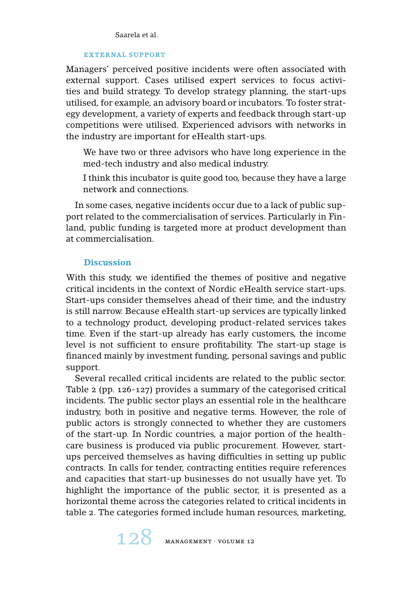## external support

Managers' perceived positive incidents were often associated with external support. Cases utilised expert services to focus activities and build strategy. To develop strategy planning, the start-ups utilised, for example, an advisory board or incubators. To foster strategy development, a variety of experts and feedback through start-up competitions were utilised. Experienced advisors with networks in the industry are important for eHealth start-ups.

We have two or three advisors who have long experience in the med-tech industry and also medical industry.

I think this incubator is quite good too, because they have a large network and connections.

In some cases, negative incidents occur due to a lack of public support related to the commercialisation of services. Particularly in Finland, public funding is targeted more at product development than at commercialisation.

## **Discussion**

With this study, we identified the themes of positive and negative critical incidents in the context of Nordic eHealth service start-ups. Start-ups consider themselves ahead of their time, and the industry is still narrow. Because eHealth start-up services are typically linked to a technology product, developing product-related services takes time. Even if the start-up already has early customers, the income level is not sufficient to ensure profitability. The start-up stage is financed mainly by investment funding, personal savings and public support.

Several recalled critical incidents are related to the public sector. Table 2 (pp. 126-127) provides a summary of the categorised critical incidents. The public sector plays an essential role in the healthcare industry, both in positive and negative terms. However, the role of public actors is strongly connected to whether they are customers of the start-up. In Nordic countries, a major portion of the healthcare business is produced via public procurement. However, startups perceived themselves as having difficulties in setting up public contracts. In calls for tender, contracting entities require references and capacities that start-up businesses do not usually have yet. To highlight the importance of the public sector, it is presented as a horizontal theme across the categories related to critical incidents in table 2. The categories formed include human resources, marketing,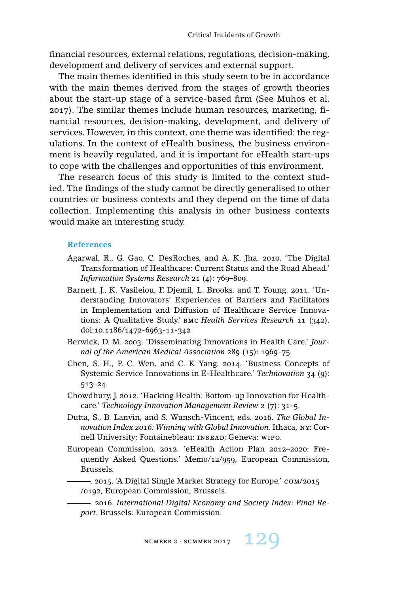financial resources, external relations, regulations, decision-making, development and delivery of services and external support.

The main themes identified in this study seem to be in accordance with the main themes derived from the stages of growth theories about the start-up stage of a service-based firm (See Muhos et al. 2017). The similar themes include human resources, marketing, financial resources, decision-making, development, and delivery of services. However, in this context, one theme was identified: the regulations. In the context of eHealth business, the business environment is heavily regulated, and it is important for eHealth start-ups to cope with the challenges and opportunities of this environment.

The research focus of this study is limited to the context studied. The findings of the study cannot be directly generalised to other countries or business contexts and they depend on the time of data collection. Implementing this analysis in other business contexts would make an interesting study.

#### **References**

- Agarwal, R., G. Gao, C. DesRoches, and A. K. Jha. 2010. 'The Digital Transformation of Healthcare: Current Status and the Road Ahead.' *Information Systems Research* 21 (4): 769–809.
- Barnett, J., K. Vasileiou, F. Djemil, L. Brooks, and T. Young. 2011. 'Understanding Innovators' Experiences of Barriers and Facilitators in Implementation and Diffusion of Healthcare Service Innovations: A Qualitative Study.' bmc *Health Services Research* 11 (342). doi:10.1186/1472-6963-11-342
- Berwick, D. M. 2003. 'Disseminating Innovations in Health Care.' *Journal of the American Medical Association* 289 (15): 1969–75.
- Chen, S.-H., P.-C. Wen, and C.-K Yang. 2014. 'Business Concepts of Systemic Service Innovations in E-Healthcare.' *Technovation* 34 (9): 513–24.
- Chowdhury, J. 2012. 'Hacking Health: Bottom-up Innovation for Healthcare.' *Technology Innovation Management Review* 2 (7): 31–5.
- Dutta, S., B. Lanvin, and S. Wunsch-Vincent, eds. 2016. *The Global Innovation Index 2016: Winning with Global Innovation.* Ithaca, ny: Cornell University; Fontainebleau: insead; Geneva: wipo.
- European Commission. 2012. 'eHealth Action Plan 2012–2020: Frequently Asked Questions.' Memo/12/959, European Commission, Brussels.

. 2015. 'A Digital Single Market Strategy for Europe.' com/2015 /0192, European Commission, Brussels.

. 2016. *International Digital Economy and Society Index: Final Report.* Brussels: European Commission.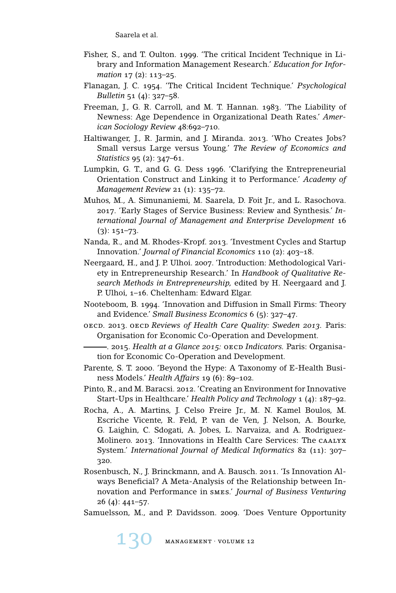- Fisher, S., and T. Oulton. 1999. 'The critical Incident Technique in Library and Information Management Research.' *Education for Information* 17 (2): 113–25.
- Flanagan, J. C. 1954. 'The Critical Incident Technique.' *Psychological Bulletin* 51 (4): 327–58.
- Freeman, J., G. R. Carroll, and M. T. Hannan. 1983. 'The Liability of Newness: Age Dependence in Organizational Death Rates.' *American Sociology Review* 48:692–710.
- Haltiwanger, J., R. Jarmin, and J. Miranda. 2013. 'Who Creates Jobs? Small versus Large versus Young.' *The Review of Economics and Statistics* 95 (2): 347–61.
- Lumpkin, G. T., and G. G. Dess 1996. 'Clarifying the Entrepreneurial Orientation Construct and Linking it to Performance.' *Academy of Management Review* 21 (1): 135–72.
- Muhos, M., A. Simunaniemi, M. Saarela, D. Foit Jr., and L. Rasochova. 2017. 'Early Stages of Service Business: Review and Synthesis.' *International Journal of Management and Enterprise Development* 16  $(3): 151 - 73.$
- Nanda, R., and M. Rhodes-Kropf. 2013. 'Investment Cycles and Startup Innovation.' *Journal of Financial Economics* 110 (2): 403–18.
- Neergaard, H., and J. P. Ulhoi. 2007. 'Introduction: Methodological Variety in Entrepreneurship Research.' In *Handbook of Qualitative Research Methods in Entrepreneurship,* edited by H. Neergaard and J. P. Ulhoi, 1–16. Cheltenham: Edward Elgar.
- Nooteboom, B. 1994. 'Innovation and Diffusion in Small Firms: Theory and Evidence.' *Small Business Economics* 6 (5): 327–47.
- oecd. 2013. oecd *Reviews of Health Care Quality: Sweden 2013.* Paris: Organisation for Economic Co-Operation and Development.
	- . 2015. *Health at a Glance 2015:* oecd *Indicators.* Paris: Organisation for Economic Co-Operation and Development.
- Parente, S. T. 2000. 'Beyond the Hype: A Taxonomy of E-Health Business Models.' *Health Affairs* 19 (6): 89–102.
- Pinto, R., and M. Baracsi. 2012. 'Creating an Environment for Innovative Start-Ups in Healthcare.' *Health Policy and Technology* 1 (4): 187–92.
- Rocha, A., A. Martins, J. Celso Freire Jr., M. N. Kamel Boulos, M. Escriche Vicente, R. Feld, P. van de Ven, J. Nelson, A. Bourke, G. Laighin, C. Sdogati, A. Jobes, L. Narvaiza, and A. Rodriguez-Molinero. 2013. 'Innovations in Health Care Services: The caalyx System.' *International Journal of Medical Informatics* 82 (11): 307– 320.
- Rosenbusch, N., J. Brinckmann, and A. Bausch. 2011. 'Is Innovation Always Beneficial? A Meta-Analysis of the Relationship between Innovation and Performance in smes.' *Journal of Business Venturing* 26 (4): 441–57.
- Samuelsson, M., and P. Davidsson. 2009. 'Does Venture Opportunity